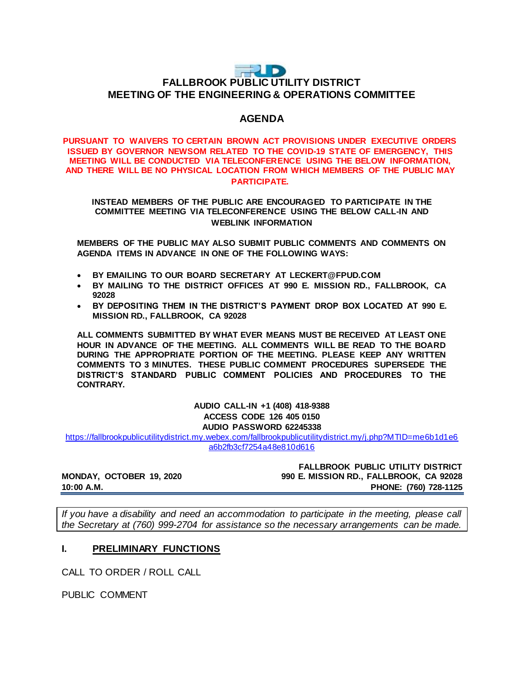## $\Rightarrow$  D **FALLBROOK PUBLIC UTILITY DISTRICT MEETING OF THE ENGINEERING & OPERATIONS COMMITTEE**

## **AGENDA**

#### **PURSUANT TO WAIVERS TO CERTAIN BROWN ACT PROVISIONS UNDER EXECUTIVE ORDERS ISSUED BY GOVERNOR NEWSOM RELATED TO THE COVID-19 STATE OF EMERGENCY, THIS MEETING WILL BE CONDUCTED VIA TELECONFERENCE USING THE BELOW INFORMATION, AND THERE WILL BE NO PHYSICAL LOCATION FROM WHICH MEMBERS OF THE PUBLIC MAY PARTICIPATE.**

#### **INSTEAD MEMBERS OF THE PUBLIC ARE ENCOURAGED TO PARTICIPATE IN THE COMMITTEE MEETING VIA TELECONFERENCE USING THE BELOW CALL-IN AND WEBLINK INFORMATION**

**MEMBERS OF THE PUBLIC MAY ALSO SUBMIT PUBLIC COMMENTS AND COMMENTS ON AGENDA ITEMS IN ADVANCE IN ONE OF THE FOLLOWING WAYS:**

- **BY EMAILING TO OUR BOARD SECRETARY AT LECKERT@FPUD.COM**
- **BY MAILING TO THE DISTRICT OFFICES AT 990 E. MISSION RD., FALLBROOK, CA 92028**
- **BY DEPOSITING THEM IN THE DISTRICT'S PAYMENT DROP BOX LOCATED AT 990 E. MISSION RD., FALLBROOK, CA 92028**

**ALL COMMENTS SUBMITTED BY WHAT EVER MEANS MUST BE RECEIVED AT LEAST ONE HOUR IN ADVANCE OF THE MEETING. ALL COMMENTS WILL BE READ TO THE BOARD DURING THE APPROPRIATE PORTION OF THE MEETING. PLEASE KEEP ANY WRITTEN COMMENTS TO 3 MINUTES. THESE PUBLIC COMMENT PROCEDURES SUPERSEDE THE DISTRICT'S STANDARD PUBLIC COMMENT POLICIES AND PROCEDURES TO THE CONTRARY.**

> **AUDIO CALL-IN +1 (408) 418-9388 ACCESS CODE 126 405 0150 AUDIO PASSWORD 62245338**

[https://fallbrookpublicutilitydistrict.my.webex.com/fallbrookpublicutilitydistrict.my/j.php?MTID=me6b1d1e6](https://fallbrookpublicutilitydistrict.my.webex.com/fallbrookpublicutilitydistrict.my/j.php?MTID=me6b1d1e6a6b2fb3cf7254a48e810d616) [a6b2fb3cf7254a48e810d616](https://fallbrookpublicutilitydistrict.my.webex.com/fallbrookpublicutilitydistrict.my/j.php?MTID=me6b1d1e6a6b2fb3cf7254a48e810d616)

**FALLBROOK PUBLIC UTILITY DISTRICT MONDAY, OCTOBER 19, 2020 990 E. MISSION RD., FALLBROOK, CA 92028 10:00 A.M. PHONE: (760) 728-1125**

*If you have a disability and need an accommodation to participate in the meeting, please call the Secretary at (760) 999-2704 for assistance so the necessary arrangements can be made.* 

### **I. PRELIMINARY FUNCTIONS**

CALL TO ORDER / ROLL CALL

PUBLIC COMMENT